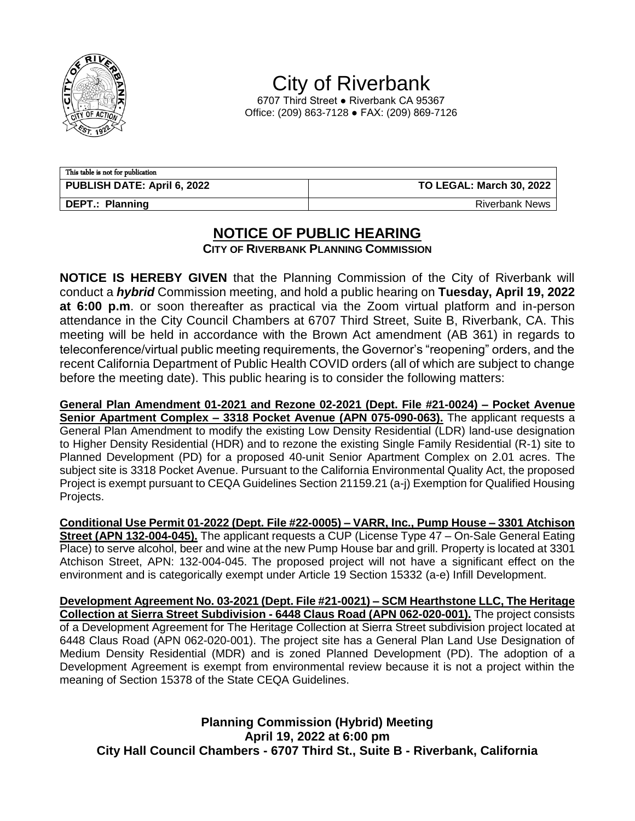

City of Riverbank

6707 Third Street ● Riverbank CA 95367 Office: (209) 863-7128 ● FAX: (209) 869-7126

| This table is not for publication  |                                 |
|------------------------------------|---------------------------------|
| <b>PUBLISH DATE: April 6, 2022</b> | <b>TO LEGAL: March 30, 2022</b> |
| DEPT.: Planning                    | <b>Riverbank News</b>           |

## **NOTICE OF PUBLIC HEARING**

**CITY OF RIVERBANK PLANNING COMMISSION**

**NOTICE IS HEREBY GIVEN** that the Planning Commission of the City of Riverbank will conduct a *hybrid* Commission meeting, and hold a public hearing on **Tuesday, April 19, 2022 at 6:00 p.m**. or soon thereafter as practical via the Zoom virtual platform and in-person attendance in the City Council Chambers at 6707 Third Street, Suite B, Riverbank, CA. This meeting will be held in accordance with the Brown Act amendment (AB 361) in regards to teleconference/virtual public meeting requirements, the Governor's "reopening" orders, and the recent California Department of Public Health COVID orders (all of which are subject to change before the meeting date). This public hearing is to consider the following matters:

**General Plan Amendment 01-2021 and Rezone 02-2021 (Dept. File #21-0024) – Pocket Avenue Senior Apartment Complex – 3318 Pocket Avenue (APN 075-090-063).** The applicant requests a General Plan Amendment to modify the existing Low Density Residential (LDR) land-use designation to Higher Density Residential (HDR) and to rezone the existing Single Family Residential (R-1) site to Planned Development (PD) for a proposed 40-unit Senior Apartment Complex on 2.01 acres. The subject site is 3318 Pocket Avenue. Pursuant to the California Environmental Quality Act, the proposed Project is exempt pursuant to CEQA Guidelines Section 21159.21 (a-j) Exemption for Qualified Housing Projects.

**Conditional Use Permit 01-2022 (Dept. File #22-0005) – VARR, Inc., Pump House – 3301 Atchison Street (APN 132-004-045).** The applicant requests a CUP (License Type 47 – On-Sale General Eating Place) to serve alcohol, beer and wine at the new Pump House bar and grill. Property is located at 3301 Atchison Street, APN: 132-004-045. The proposed project will not have a significant effect on the environment and is categorically exempt under Article 19 Section 15332 (a-e) Infill Development.

**Development Agreement No. 03-2021 (Dept. File #21-0021) – SCM Hearthstone LLC, The Heritage Collection at Sierra Street Subdivision - 6448 Claus Road (APN 062-020-001).** The project consists of a Development Agreement for The Heritage Collection at Sierra Street subdivision project located at 6448 Claus Road (APN 062-020-001). The project site has a General Plan Land Use Designation of Medium Density Residential (MDR) and is zoned Planned Development (PD). The adoption of a Development Agreement is exempt from environmental review because it is not a project within the meaning of Section 15378 of the State CEQA Guidelines.

**Planning Commission (Hybrid) Meeting April 19, 2022 at 6:00 pm City Hall Council Chambers - 6707 Third St., Suite B - Riverbank, California**